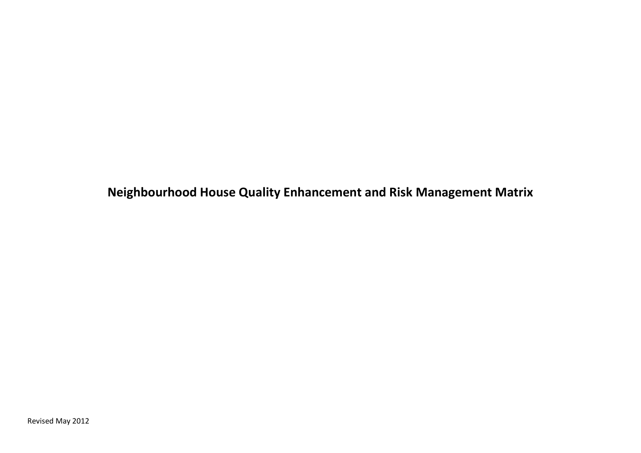**Neighbourhood House Quality Enhancement and Risk Management Matrix**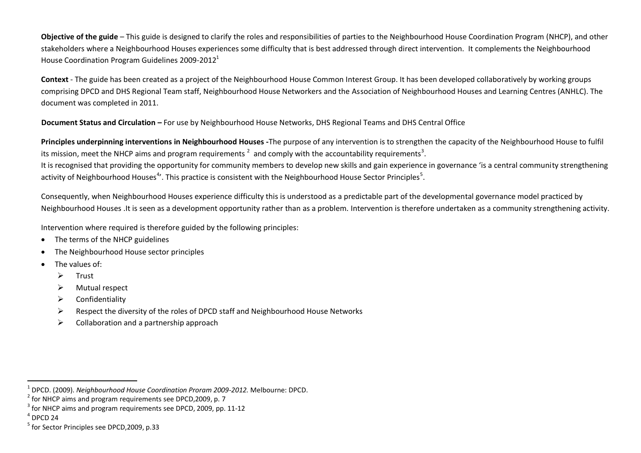**Objective of the guide** – This guide is designed to clarify the roles and responsibilities of parties to the Neighbourhood House Coordination Program (NHCP), and other stakeholders where a Neighbourhood Houses experiences some difficulty that is best addressed through direct intervention. It complements the Neighbourhood House Coordination Program Guidelines 2009-2012<sup>1</sup>

**Context** - The guide has been created as a project of the Neighbourhood House Common Interest Group. It has been developed collaboratively by working groups comprising DPCD and DHS Regional Team staff, Neighbourhood House Networkers and the Association of Neighbourhood Houses and Learning Centres (ANHLC). The document was completed in 2011.

**Document Status and Circulation –** For use by Neighbourhood House Networks, DHS Regional Teams and DHS Central Office

**Principles underpinning interventions in Neighbourhood Houses -**The purpose of any intervention is to strengthen the capacity of the Neighbourhood House to fulfil its mission, meet the NHCP aims and program requirements  $^2$  and comply with the accountability requirements<sup>3</sup>.

It is recognised that providing the opportunity for community members to develop new skills and gain experience in governance 'is a central community strengthening activity of Neighbourhood Houses<sup>4</sup>'. This practice is consistent with the Neighbourhood House Sector Principles<sup>5</sup>.

Consequently, when Neighbourhood Houses experience difficulty this is understood as a predictable part of the developmental governance model practiced by Neighbourhood Houses .It is seen as a development opportunity rather than as a problem. Intervention is therefore undertaken as a community strengthening activity.

Intervention where required is therefore guided by the following principles:

- The terms of the NHCP guidelines
- The Neighbourhood House sector principles
- The values of:
	- $\triangleright$  Trust
	- Mutual respect
	- $\triangleright$  Confidentiality
	- $\triangleright$  Respect the diversity of the roles of DPCD staff and Neighbourhood House Networks
	- $\triangleright$  Collaboration and a partnership approach

 $<sup>4</sup>$  DPCD 24</sup>

1

<sup>1</sup> DPCD. (2009). *Neighbourhood House Coordination Proram 2009-2012.* Melbourne: DPCD.

 $2^{2}$  for NHCP aims and program requirements see DPCD, 2009, p. 7

 $3$  for NHCP aims and program requirements see DPCD, 2009, pp. 11-12

<sup>5</sup> for Sector Principles see DPCD,2009, p.33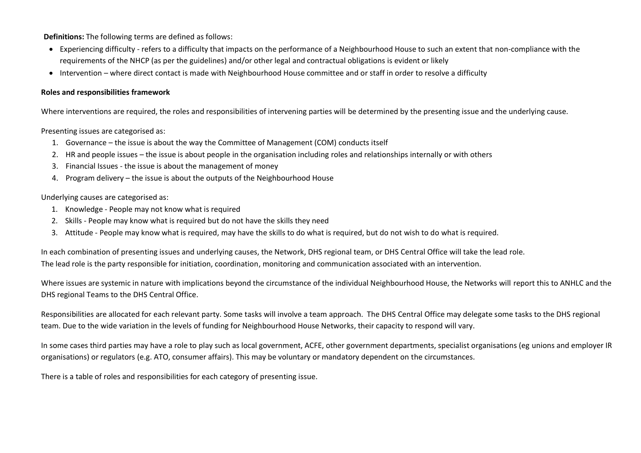**Definitions:** The following terms are defined as follows:

- Experiencing difficulty refers to a difficulty that impacts on the performance of a Neighbourhood House to such an extent that non-compliance with the requirements of the NHCP (as per the guidelines) and/or other legal and contractual obligations is evident or likely
- Intervention where direct contact is made with Neighbourhood House committee and or staff in order to resolve a difficulty

## **Roles and responsibilities framework**

Where interventions are required, the roles and responsibilities of intervening parties will be determined by the presenting issue and the underlying cause.

Presenting issues are categorised as:

- 1. Governance the issue is about the way the Committee of Management (COM) conducts itself
- 2. HR and people issues the issue is about people in the organisation including roles and relationships internally or with others
- 3. Financial Issues the issue is about the management of money
- 4. Program delivery the issue is about the outputs of the Neighbourhood House

## Underlying causes are categorised as:

- 1. Knowledge People may not know what is required
- 2. Skills People may know what is required but do not have the skills they need
- 3. Attitude People may know what is required, may have the skills to do what is required, but do not wish to do what is required.

In each combination of presenting issues and underlying causes, the Network, DHS regional team, or DHS Central Office will take the lead role. The lead role is the party responsible for initiation, coordination, monitoring and communication associated with an intervention.

Where issues are systemic in nature with implications beyond the circumstance of the individual Neighbourhood House, the Networks will report this to ANHLC and the DHS regional Teams to the DHS Central Office.

Responsibilities are allocated for each relevant party. Some tasks will involve a team approach. The DHS Central Office may delegate some tasks to the DHS regional team. Due to the wide variation in the levels of funding for Neighbourhood House Networks, their capacity to respond will vary.

In some cases third parties may have a role to play such as local government, ACFE, other government departments, specialist organisations (eg unions and employer IR organisations) or regulators (e.g. ATO, consumer affairs). This may be voluntary or mandatory dependent on the circumstances.

There is a table of roles and responsibilities for each category of presenting issue.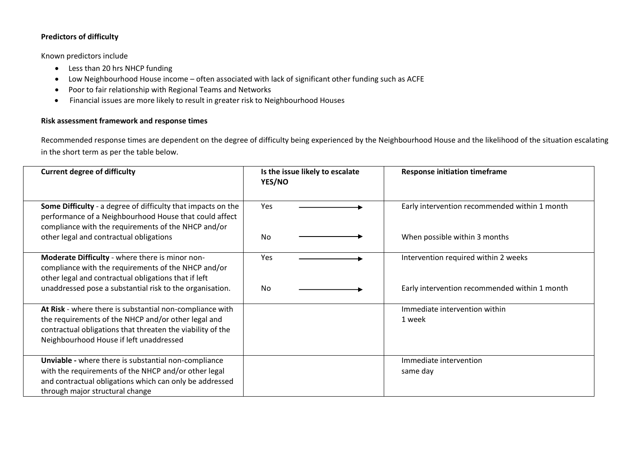# **Predictors of difficulty**

Known predictors include

- Less than 20 hrs NHCP funding
- Low Neighbourhood House income often associated with lack of significant other funding such as ACFE
- Poor to fair relationship with Regional Teams and Networks
- Financial issues are more likely to result in greater risk to Neighbourhood Houses

# **Risk assessment framework and response times**

Recommended response times are dependent on the degree of difficulty being experienced by the Neighbourhood House and the likelihood of the situation escalating in the short term as per the table below.

| <b>Current degree of difficulty</b>                                                                                                                                                                                      | Is the issue likely to escalate<br><b>YES/NO</b> | <b>Response initiation timeframe</b>          |
|--------------------------------------------------------------------------------------------------------------------------------------------------------------------------------------------------------------------------|--------------------------------------------------|-----------------------------------------------|
| Some Difficulty - a degree of difficulty that impacts on the<br>performance of a Neighbourhood House that could affect<br>compliance with the requirements of the NHCP and/or                                            | Yes                                              | Early intervention recommended within 1 month |
| other legal and contractual obligations                                                                                                                                                                                  | No.                                              | When possible within 3 months                 |
| Moderate Difficulty - where there is minor non-<br>compliance with the requirements of the NHCP and/or<br>other legal and contractual obligations that if left                                                           | Yes                                              | Intervention required within 2 weeks          |
| unaddressed pose a substantial risk to the organisation.                                                                                                                                                                 | N <sub>0</sub>                                   | Early intervention recommended within 1 month |
| At Risk - where there is substantial non-compliance with<br>the requirements of the NHCP and/or other legal and<br>contractual obligations that threaten the viability of the<br>Neighbourhood House if left unaddressed |                                                  | Immediate intervention within<br>1 week       |
| Unviable - where there is substantial non-compliance<br>with the requirements of the NHCP and/or other legal                                                                                                             |                                                  | Immediate intervention<br>same day            |
| and contractual obligations which can only be addressed<br>through major structural change                                                                                                                               |                                                  |                                               |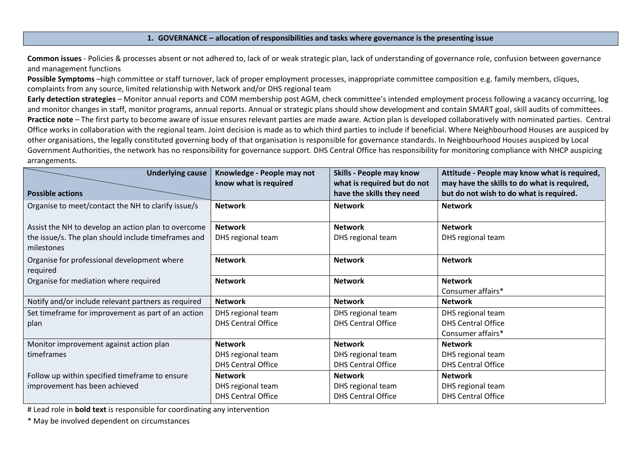#### **1. GOVERNANCE – allocation of responsibilities and tasks where governance is the presenting issue**

**Common issues** - Policies & processes absent or not adhered to, lack of or weak strategic plan, lack of understanding of governance role, confusion between governance and management functions

**Possible Symptoms** –high committee or staff turnover, lack of proper employment processes, inappropriate committee composition e.g. family members, cliques, complaints from any source, limited relationship with Network and/or DHS regional team

**Early detection strategies** – Monitor annual reports and COM membership post AGM, check committee's intended employment process following a vacancy occurring, log and monitor changes in staff, monitor programs, annual reports. Annual or strategic plans should show development and contain SMART goal, skill audits of committees. **Practice note** – The first party to become aware of issue ensures relevant parties are made aware. Action plan is developed collaboratively with nominated parties. Central Office works in collaboration with the regional team. Joint decision is made as to which third parties to include if beneficial. Where Neighbourhood Houses are auspiced by other organisations, the legally constituted governing body of that organisation is responsible for governance standards. In Neighbourhood Houses auspiced by Local Government Authorities, the network has no responsibility for governance support. DHS Central Office has responsibility for monitoring compliance with NHCP auspicing arrangements.

| <b>Underlying cause</b>                                           | Knowledge - People may not<br>know what is required | Skills - People may know<br>what is required but do not | Attitude - People may know what is required,<br>may have the skills to do what is required, |
|-------------------------------------------------------------------|-----------------------------------------------------|---------------------------------------------------------|---------------------------------------------------------------------------------------------|
| <b>Possible actions</b>                                           |                                                     | have the skills they need                               | but do not wish to do what is required.                                                     |
| Organise to meet/contact the NH to clarify issue/s                | <b>Network</b>                                      | <b>Network</b>                                          | <b>Network</b>                                                                              |
| Assist the NH to develop an action plan to overcome               | <b>Network</b>                                      | <b>Network</b>                                          | <b>Network</b>                                                                              |
| the issue/s. The plan should include timeframes and<br>milestones | DHS regional team                                   | DHS regional team                                       | DHS regional team                                                                           |
| Organise for professional development where<br>required           | <b>Network</b>                                      | <b>Network</b>                                          | <b>Network</b>                                                                              |
| Organise for mediation where required                             | <b>Network</b>                                      | <b>Network</b>                                          | <b>Network</b>                                                                              |
|                                                                   |                                                     |                                                         | Consumer affairs*                                                                           |
| Notify and/or include relevant partners as required               | <b>Network</b>                                      | <b>Network</b>                                          | <b>Network</b>                                                                              |
| Set timeframe for improvement as part of an action                | DHS regional team                                   | DHS regional team                                       | DHS regional team                                                                           |
| plan                                                              | <b>DHS Central Office</b>                           | <b>DHS Central Office</b>                               | <b>DHS Central Office</b>                                                                   |
|                                                                   |                                                     |                                                         | Consumer affairs*                                                                           |
| Monitor improvement against action plan                           | <b>Network</b>                                      | <b>Network</b>                                          | <b>Network</b>                                                                              |
| timeframes                                                        | DHS regional team                                   | DHS regional team                                       | DHS regional team                                                                           |
|                                                                   | <b>DHS Central Office</b>                           | <b>DHS Central Office</b>                               | <b>DHS Central Office</b>                                                                   |
| Follow up within specified timeframe to ensure                    | <b>Network</b>                                      | <b>Network</b>                                          | <b>Network</b>                                                                              |
| improvement has been achieved                                     | DHS regional team                                   | DHS regional team                                       | DHS regional team                                                                           |
|                                                                   | <b>DHS Central Office</b>                           | <b>DHS Central Office</b>                               | <b>DHS Central Office</b>                                                                   |

# Lead role in **bold text** is responsible for coordinating any intervention

\* May be involved dependent on circumstances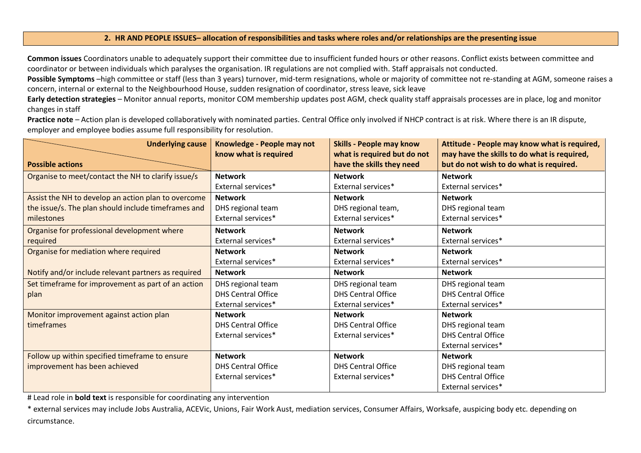## **2. HR AND PEOPLE ISSUES– allocation of responsibilities and tasks where roles and/or relationships are the presenting issue**

**Common issues** Coordinators unable to adequately support their committee due to insufficient funded hours or other reasons. Conflict exists between committee and coordinator or between individuals which paralyses the organisation. IR regulations are not complied with. Staff appraisals not conducted.

**Possible Symptoms** –high committee or staff (less than 3 years) turnover, mid-term resignations, whole or majority of committee not re-standing at AGM, someone raises a concern, internal or external to the Neighbourhood House, sudden resignation of coordinator, stress leave, sick leave

**Early detection strategies** – Monitor annual reports, monitor COM membership updates post AGM, check quality staff appraisals processes are in place, log and monitor changes in staff

Practice note - Action plan is developed collaboratively with nominated parties. Central Office only involved if NHCP contract is at risk. Where there is an IR dispute, employer and employee bodies assume full responsibility for resolution.

| <b>Underlying cause</b>                             | Knowledge - People may not<br>know what is required | <b>Skills - People may know</b><br>what is required but do not | Attitude - People may know what is required,<br>may have the skills to do what is required, |
|-----------------------------------------------------|-----------------------------------------------------|----------------------------------------------------------------|---------------------------------------------------------------------------------------------|
| <b>Possible actions</b>                             |                                                     | have the skills they need                                      | but do not wish to do what is required.                                                     |
| Organise to meet/contact the NH to clarify issue/s  | <b>Network</b>                                      | <b>Network</b>                                                 | <b>Network</b>                                                                              |
|                                                     | External services*                                  | External services*                                             | External services*                                                                          |
| Assist the NH to develop an action plan to overcome | <b>Network</b>                                      | <b>Network</b>                                                 | <b>Network</b>                                                                              |
| the issue/s. The plan should include timeframes and | DHS regional team                                   | DHS regional team,                                             | DHS regional team                                                                           |
| milestones                                          | External services*                                  | External services*                                             | External services*                                                                          |
| Organise for professional development where         | <b>Network</b>                                      | <b>Network</b>                                                 | <b>Network</b>                                                                              |
| required                                            | External services*                                  | External services*                                             | External services*                                                                          |
| Organise for mediation where required               | <b>Network</b>                                      | <b>Network</b>                                                 | <b>Network</b>                                                                              |
|                                                     | External services*                                  | External services*                                             | External services*                                                                          |
| Notify and/or include relevant partners as required | <b>Network</b>                                      | <b>Network</b>                                                 | <b>Network</b>                                                                              |
| Set timeframe for improvement as part of an action  | DHS regional team                                   | DHS regional team                                              | DHS regional team                                                                           |
| plan                                                | <b>DHS Central Office</b>                           | <b>DHS Central Office</b>                                      | <b>DHS Central Office</b>                                                                   |
|                                                     | External services*                                  | External services*                                             | External services*                                                                          |
| Monitor improvement against action plan             | <b>Network</b>                                      | <b>Network</b>                                                 | <b>Network</b>                                                                              |
| timeframes                                          | <b>DHS Central Office</b>                           | <b>DHS Central Office</b>                                      | DHS regional team                                                                           |
|                                                     | External services*                                  | External services*                                             | <b>DHS Central Office</b>                                                                   |
|                                                     |                                                     |                                                                | External services*                                                                          |
| Follow up within specified timeframe to ensure      | <b>Network</b>                                      | <b>Network</b>                                                 | <b>Network</b>                                                                              |
| improvement has been achieved                       | <b>DHS Central Office</b>                           | <b>DHS Central Office</b>                                      | DHS regional team                                                                           |
|                                                     | External services*                                  | External services*                                             | <b>DHS Central Office</b>                                                                   |
|                                                     |                                                     |                                                                | External services*                                                                          |

# Lead role in **bold text** is responsible for coordinating any intervention

\* external services may include Jobs Australia, ACEVic, Unions, Fair Work Aust, mediation services, Consumer Affairs, Worksafe, auspicing body etc. depending on circumstance.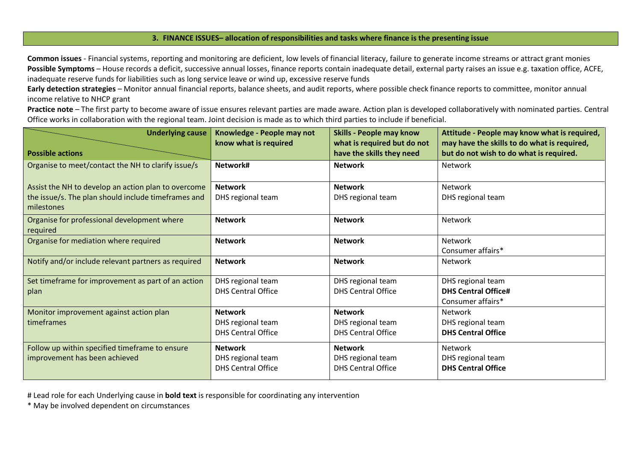## **3. FINANCE ISSUES– allocation of responsibilities and tasks where finance is the presenting issue**

**Common issues** - Financial systems, reporting and monitoring are deficient, low levels of financial literacy, failure to generate income streams or attract grant monies **Possible Symptoms** – House records a deficit, successive annual losses, finance reports contain inadequate detail, external party raises an issue e.g. taxation office, ACFE, inadequate reserve funds for liabilities such as long service leave or wind up, excessive reserve funds

**Early detection strategies** – Monitor annual financial reports, balance sheets, and audit reports, where possible check finance reports to committee, monitor annual income relative to NHCP grant

**Practice note** – The first party to become aware of issue ensures relevant parties are made aware. Action plan is developed collaboratively with nominated parties. Central Office works in collaboration with the regional team. Joint decision is made as to which third parties to include if beneficial.

| <b>Underlying cause</b><br><b>Possible actions</b>                | Knowledge - People may not<br>know what is required | <b>Skills - People may know</b><br>what is required but do not<br>have the skills they need | Attitude - People may know what is required,<br>may have the skills to do what is required,<br>but do not wish to do what is required. |
|-------------------------------------------------------------------|-----------------------------------------------------|---------------------------------------------------------------------------------------------|----------------------------------------------------------------------------------------------------------------------------------------|
| Organise to meet/contact the NH to clarify issue/s                | Network#                                            | <b>Network</b>                                                                              | <b>Network</b>                                                                                                                         |
| Assist the NH to develop an action plan to overcome               | <b>Network</b>                                      | <b>Network</b>                                                                              | <b>Network</b>                                                                                                                         |
| the issue/s. The plan should include timeframes and<br>milestones | DHS regional team                                   | DHS regional team                                                                           | DHS regional team                                                                                                                      |
| Organise for professional development where<br>required           | <b>Network</b>                                      | <b>Network</b>                                                                              | Network                                                                                                                                |
| Organise for mediation where required                             | <b>Network</b>                                      | <b>Network</b>                                                                              | Network<br>Consumer affairs*                                                                                                           |
| Notify and/or include relevant partners as required               | <b>Network</b>                                      | <b>Network</b>                                                                              | Network                                                                                                                                |
| Set timeframe for improvement as part of an action                | DHS regional team                                   | DHS regional team                                                                           | DHS regional team                                                                                                                      |
| plan                                                              | <b>DHS Central Office</b>                           | <b>DHS Central Office</b>                                                                   | <b>DHS Central Office#</b>                                                                                                             |
|                                                                   |                                                     |                                                                                             | Consumer affairs*                                                                                                                      |
| Monitor improvement against action plan                           | <b>Network</b>                                      | <b>Network</b>                                                                              | <b>Network</b>                                                                                                                         |
| timeframes                                                        | DHS regional team                                   | DHS regional team                                                                           | DHS regional team                                                                                                                      |
|                                                                   | <b>DHS Central Office</b>                           | <b>DHS Central Office</b>                                                                   | <b>DHS Central Office</b>                                                                                                              |
| Follow up within specified timeframe to ensure                    | <b>Network</b>                                      | <b>Network</b>                                                                              | Network                                                                                                                                |
| improvement has been achieved                                     | DHS regional team                                   | DHS regional team                                                                           | DHS regional team                                                                                                                      |
|                                                                   | <b>DHS Central Office</b>                           | <b>DHS Central Office</b>                                                                   | <b>DHS Central Office</b>                                                                                                              |

# Lead role for each Underlying cause in **bold text** is responsible for coordinating any intervention

\* May be involved dependent on circumstances